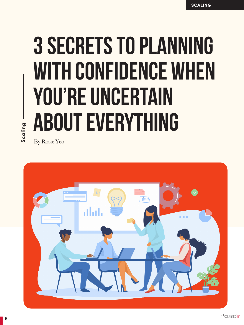## 3 SECRETS TO PLANNING WITH CONFIDENCE WHEN YOU'RE UNCERTAIN ABOUT EVERYTHING

**Scaling**

By Rosie Yeo

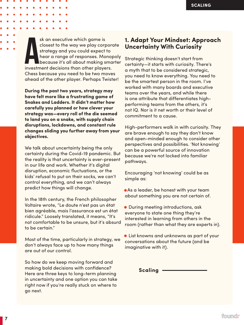sk an executive which game is<br>closest to the way we play corpore<br>strategy and you could expect to<br>hear a range of responses. Monop<br>because it's all about making sma<br>investment decisions than other players. sk an executive which game is closest to the way we play corporate strategy and you could expect to hear a range of responses. Monopoly because it's all about making smarter Chess because you need to be two moves ahead of the other player. Perhaps Twister!

**During the past two years, strategy may have felt more like a frustrating game of Snakes and Ladders. It didn't matter how carefully you planned or how clever your strategy was—every roll of the die seemed to land you on a snake, with supply chain disruptions, lockdowns, and constant rule changes sliding you further away from your objectives.**

We talk about uncertainty being the only certainty during the Covid-19 pandemic. But the reality is that uncertainty is ever-present in our life and work. Whether it's digital disruption, economic fluctuations, or the kids' refusal to put on their socks, we can't control everything, and we can't always predict how things will change.

In the 18th century, the French philosopher Voltaire wrote, "Le doute n'est pas un état bien agréable, mais l'assurance est un état ridicule." Loosely translated, it means, "It's not comfortable to be unsure, but it's absurd to be certain."

Most of the time, particularly in strategy, we don't always face up to how many things are out of our control.

So how do we keep moving forward and making bold decisions with confidence? Here are three keys to long-term planning in uncertainty and one option you can take right now if you're really stuck on where to go next.

## **1. Adapt Your Mindset: Approach Uncertainty With Curiosity**

Strategic thinking doesn't start from certainty—it starts with curiosity. There's a myth that to be considered strategic, you need to know everything. You need to be the smartest person in the room. I've worked with many boards and executive teams over the years, and while there is one attribute that differentiates highperforming teams from the others, it's not IQ. Nor is it net worth or their level of commitment to a cause.

High-performers walk in with curiosity. They are brave enough to say they don't know and open-minded enough to consider other perspectives and possibilities. 'Not knowing' can be a powerful source of innovation because we're not locked into familiar pathways.

Encouraging 'not knowing' could be as simple as:

- As a leader, be honest with your team about something you are not certain of.
- During meeting introductions, ask everyone to state one thing they're interested in learning from others in the room (rather than what they are experts in).
- List knowns and unknowns as part of your conversations about the future (and be imaginative with it).

**Scaling**